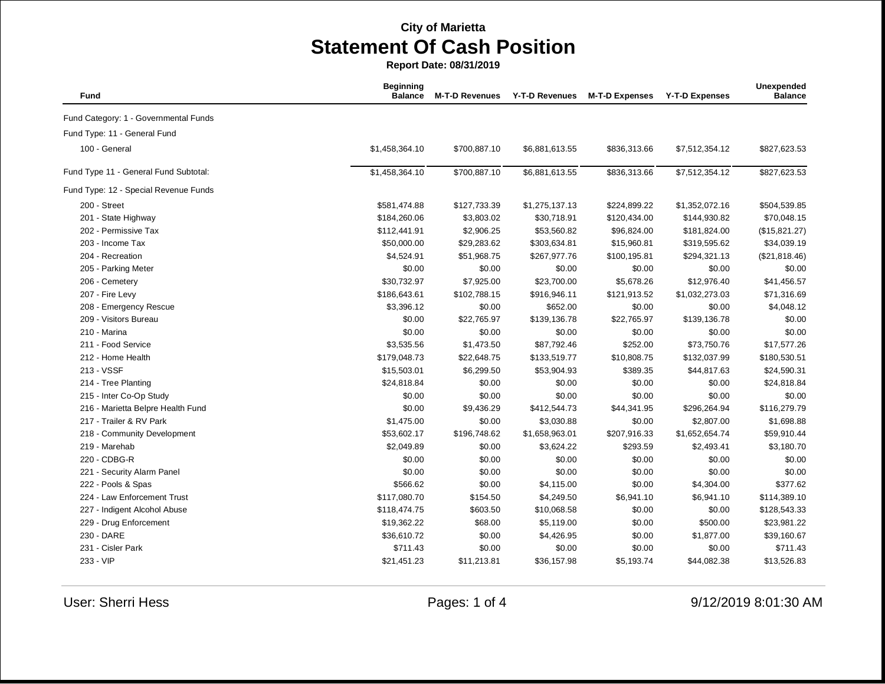| Fund                                  | <b>Beginning</b><br><b>Balance</b> | <b>M-T-D Revenues</b> | <b>Y-T-D Revenues</b> | <b>M-T-D Expenses</b> | <b>Y-T-D Expenses</b> | Unexpended<br><b>Balance</b> |
|---------------------------------------|------------------------------------|-----------------------|-----------------------|-----------------------|-----------------------|------------------------------|
| Fund Category: 1 - Governmental Funds |                                    |                       |                       |                       |                       |                              |
| Fund Type: 11 - General Fund          |                                    |                       |                       |                       |                       |                              |
| 100 - General                         | \$1,458,364.10                     | \$700,887.10          | \$6,881,613.55        | \$836,313.66          | \$7,512,354.12        | \$827,623.53                 |
| Fund Type 11 - General Fund Subtotal: | \$1,458,364.10                     | \$700,887.10          | \$6,881,613.55        | \$836,313.66          | \$7,512,354.12        | \$827,623.53                 |
| Fund Type: 12 - Special Revenue Funds |                                    |                       |                       |                       |                       |                              |
| 200 - Street                          | \$581,474.88                       | \$127,733.39          | \$1,275,137.13        | \$224,899.22          | \$1,352,072.16        | \$504,539.85                 |
| 201 - State Highway                   | \$184,260.06                       | \$3,803.02            | \$30,718.91           | \$120,434.00          | \$144,930.82          | \$70,048.15                  |
| 202 - Permissive Tax                  | \$112,441.91                       | \$2,906.25            | \$53,560.82           | \$96,824.00           | \$181,824.00          | (\$15,821.27)                |
| 203 - Income Tax                      | \$50,000.00                        | \$29,283.62           | \$303,634.81          | \$15,960.81           | \$319,595.62          | \$34,039.19                  |
| 204 - Recreation                      | \$4,524.91                         | \$51,968.75           | \$267,977.76          | \$100,195.81          | \$294,321.13          | (\$21,818.46)                |
| 205 - Parking Meter                   | \$0.00                             | \$0.00                | \$0.00                | \$0.00                | \$0.00                | \$0.00                       |
| 206 - Cemetery                        | \$30,732.97                        | \$7,925.00            | \$23,700.00           | \$5,678.26            | \$12,976.40           | \$41,456.57                  |
| 207 - Fire Levy                       | \$186,643.61                       | \$102,788.15          | \$916,946.11          | \$121,913.52          | \$1,032,273.03        | \$71,316.69                  |
| 208 - Emergency Rescue                | \$3,396.12                         | \$0.00                | \$652.00              | \$0.00                | \$0.00                | \$4,048.12                   |
| 209 - Visitors Bureau                 | \$0.00                             | \$22,765.97           | \$139,136.78          | \$22,765.97           | \$139,136.78          | \$0.00                       |
| 210 - Marina                          | \$0.00                             | \$0.00                | \$0.00                | \$0.00                | \$0.00                | \$0.00                       |
| 211 - Food Service                    | \$3,535.56                         | \$1,473.50            | \$87,792.46           | \$252.00              | \$73,750.76           | \$17,577.26                  |
| 212 - Home Health                     | \$179,048.73                       | \$22,648.75           | \$133,519.77          | \$10,808.75           | \$132,037.99          | \$180,530.51                 |
| 213 - VSSF                            | \$15,503.01                        | \$6,299.50            | \$53,904.93           | \$389.35              | \$44,817.63           | \$24,590.31                  |
| 214 - Tree Planting                   | \$24,818.84                        | \$0.00                | \$0.00                | \$0.00                | \$0.00                | \$24,818.84                  |
| 215 - Inter Co-Op Study               | \$0.00                             | \$0.00                | \$0.00                | \$0.00                | \$0.00                | \$0.00                       |
| 216 - Marietta Belpre Health Fund     | \$0.00                             | \$9,436.29            | \$412,544.73          | \$44,341.95           | \$296,264.94          | \$116,279.79                 |
| 217 - Trailer & RV Park               | \$1,475.00                         | \$0.00                | \$3,030.88            | \$0.00                | \$2,807.00            | \$1,698.88                   |
| 218 - Community Development           | \$53,602.17                        | \$196,748.62          | \$1,658,963.01        | \$207,916.33          | \$1,652,654.74        | \$59,910.44                  |
| 219 - Marehab                         | \$2,049.89                         | \$0.00                | \$3,624.22            | \$293.59              | \$2,493.41            | \$3,180.70                   |
| 220 - CDBG-R                          | \$0.00                             | \$0.00                | \$0.00                | \$0.00                | \$0.00                | \$0.00                       |
| 221 - Security Alarm Panel            | \$0.00                             | \$0.00                | \$0.00                | \$0.00                | \$0.00                | \$0.00                       |
| 222 - Pools & Spas                    | \$566.62                           | \$0.00                | \$4,115.00            | \$0.00                | \$4,304.00            | \$377.62                     |
| 224 - Law Enforcement Trust           | \$117,080.70                       | \$154.50              | \$4,249.50            | \$6,941.10            | \$6,941.10            | \$114,389.10                 |
| 227 - Indigent Alcohol Abuse          | \$118,474.75                       | \$603.50              | \$10,068.58           | \$0.00                | \$0.00                | \$128,543.33                 |
| 229 - Drug Enforcement                | \$19,362.22                        | \$68.00               | \$5,119.00            | \$0.00                | \$500.00              | \$23,981.22                  |
| 230 - DARE                            | \$36,610.72                        | \$0.00                | \$4,426.95            | \$0.00                | \$1,877.00            | \$39,160.67                  |
| 231 - Cisler Park                     | \$711.43                           | \$0.00                | \$0.00                | \$0.00                | \$0.00                | \$711.43                     |
| 233 - VIP                             | \$21,451.23                        | \$11,213.81           | \$36,157.98           | \$5,193.74            | \$44,082.38           | \$13,526.83                  |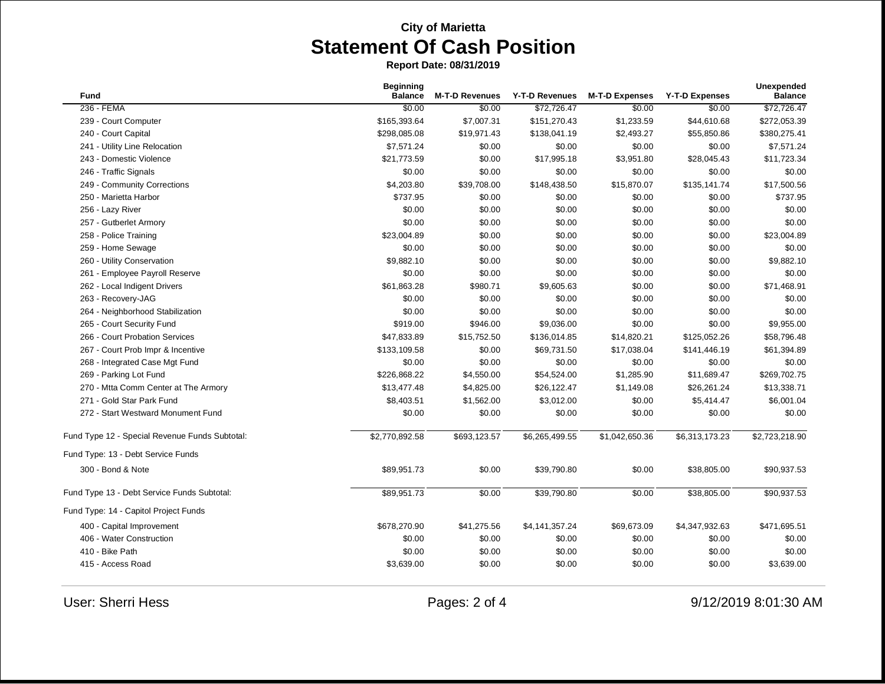| <b>Fund</b>                                    | <b>Beginning</b><br><b>Balance</b> | <b>M-T-D Revenues</b> | Y-T-D Revenues | <b>M-T-D Expenses</b> | <b>Y-T-D Expenses</b> | <b>Unexpended</b><br><b>Balance</b> |
|------------------------------------------------|------------------------------------|-----------------------|----------------|-----------------------|-----------------------|-------------------------------------|
| 236 - FEMA                                     | \$0.00                             | \$0.00                | \$72,726.47    | \$0.00                | \$0.00                | \$72,726.47                         |
| 239 - Court Computer                           | \$165,393.64                       | \$7,007.31            | \$151,270.43   | \$1,233.59            | \$44,610.68           | \$272,053.39                        |
| 240 - Court Capital                            | \$298,085.08                       | \$19,971.43           | \$138,041.19   | \$2,493.27            | \$55,850.86           | \$380,275.41                        |
| 241 - Utility Line Relocation                  | \$7,571.24                         | \$0.00                | \$0.00         | \$0.00                | \$0.00                | \$7,571.24                          |
| 243 - Domestic Violence                        | \$21,773.59                        | \$0.00                | \$17,995.18    | \$3,951.80            | \$28,045.43           | \$11,723.34                         |
| 246 - Traffic Signals                          | \$0.00                             | \$0.00                | \$0.00         | \$0.00                | \$0.00                | \$0.00                              |
| 249 - Community Corrections                    | \$4,203.80                         | \$39,708.00           | \$148,438.50   | \$15,870.07           | \$135,141.74          | \$17,500.56                         |
| 250 - Marietta Harbor                          | \$737.95                           | \$0.00                | \$0.00         | \$0.00                | \$0.00                | \$737.95                            |
| 256 - Lazy River                               | \$0.00                             | \$0.00                | \$0.00         | \$0.00                | \$0.00                | \$0.00                              |
| 257 - Gutberlet Armory                         | \$0.00                             | \$0.00                | \$0.00         | \$0.00                | \$0.00                | \$0.00                              |
| 258 - Police Training                          | \$23,004.89                        | \$0.00                | \$0.00         | \$0.00                | \$0.00                | \$23,004.89                         |
| 259 - Home Sewage                              | \$0.00                             | \$0.00                | \$0.00         | \$0.00                | \$0.00                | \$0.00                              |
| 260 - Utility Conservation                     | \$9,882.10                         | \$0.00                | \$0.00         | \$0.00                | \$0.00                | \$9,882.10                          |
| 261 - Employee Payroll Reserve                 | \$0.00                             | \$0.00                | \$0.00         | \$0.00                | \$0.00                | \$0.00                              |
| 262 - Local Indigent Drivers                   | \$61,863.28                        | \$980.71              | \$9,605.63     | \$0.00                | \$0.00                | \$71,468.91                         |
| 263 - Recovery-JAG                             | \$0.00                             | \$0.00                | \$0.00         | \$0.00                | \$0.00                | \$0.00                              |
| 264 - Neighborhood Stabilization               | \$0.00                             | \$0.00                | \$0.00         | \$0.00                | \$0.00                | \$0.00                              |
| 265 - Court Security Fund                      | \$919.00                           | \$946.00              | \$9,036.00     | \$0.00                | \$0.00                | \$9,955.00                          |
| 266 - Court Probation Services                 | \$47,833.89                        | \$15,752.50           | \$136,014.85   | \$14,820.21           | \$125,052.26          | \$58,796.48                         |
| 267 - Court Prob Impr & Incentive              | \$133,109.58                       | \$0.00                | \$69,731.50    | \$17,038.04           | \$141,446.19          | \$61,394.89                         |
| 268 - Integrated Case Mgt Fund                 | \$0.00                             | \$0.00                | \$0.00         | \$0.00                | \$0.00                | \$0.00                              |
| 269 - Parking Lot Fund                         | \$226,868.22                       | \$4,550.00            | \$54,524.00    | \$1,285.90            | \$11,689.47           | \$269,702.75                        |
| 270 - Mtta Comm Center at The Armory           | \$13,477.48                        | \$4,825.00            | \$26,122.47    | \$1,149.08            | \$26,261.24           | \$13,338.71                         |
| 271 - Gold Star Park Fund                      | \$8,403.51                         | \$1,562.00            | \$3,012.00     | \$0.00                | \$5,414.47            | \$6,001.04                          |
| 272 - Start Westward Monument Fund             | \$0.00                             | \$0.00                | \$0.00         | \$0.00                | \$0.00                | \$0.00                              |
| Fund Type 12 - Special Revenue Funds Subtotal: | \$2,770,892.58                     | \$693,123.57          | \$6,265,499.55 | \$1,042,650.36        | \$6,313,173.23        | \$2,723,218.90                      |
| Fund Type: 13 - Debt Service Funds             |                                    |                       |                |                       |                       |                                     |
| 300 - Bond & Note                              | \$89,951.73                        | \$0.00                | \$39,790.80    | \$0.00                | \$38,805.00           | \$90,937.53                         |
| Fund Type 13 - Debt Service Funds Subtotal:    | \$89,951.73                        | \$0.00                | \$39,790.80    | \$0.00                | \$38,805.00           | \$90,937.53                         |
| Fund Type: 14 - Capitol Project Funds          |                                    |                       |                |                       |                       |                                     |
| 400 - Capital Improvement                      | \$678,270.90                       | \$41,275.56           | \$4,141,357.24 | \$69,673.09           | \$4,347,932.63        | \$471,695.51                        |
| 406 - Water Construction                       | \$0.00                             | \$0.00                | \$0.00         | \$0.00                | \$0.00                | \$0.00                              |
| 410 - Bike Path                                | \$0.00                             | \$0.00                | \$0.00         | \$0.00                | \$0.00                | \$0.00                              |
| 415 - Access Road                              | \$3,639.00                         | \$0.00                | \$0.00         | \$0.00                | \$0.00                | \$3,639.00                          |
|                                                |                                    |                       |                |                       |                       |                                     |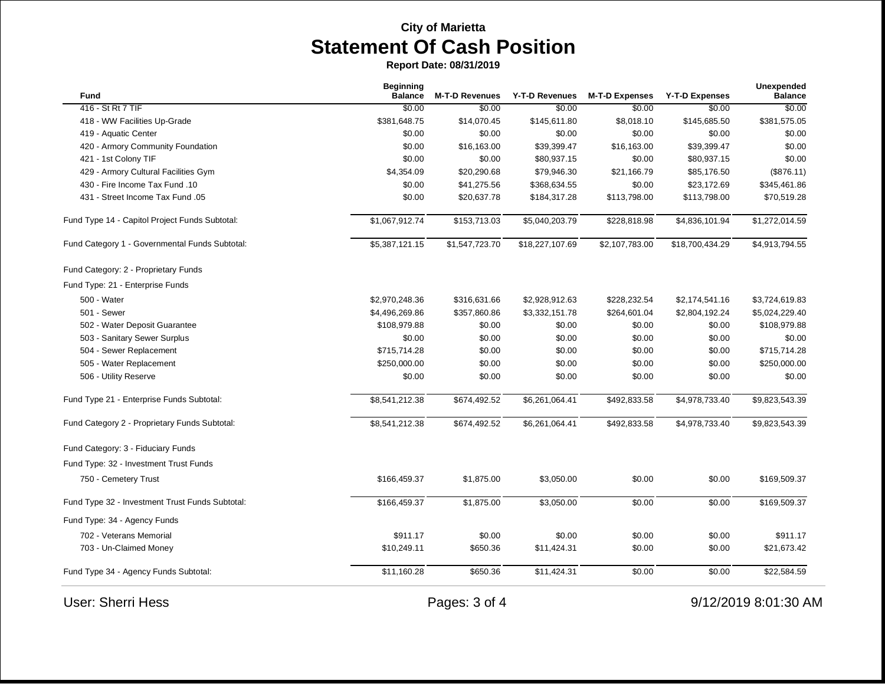| Fund                                            | <b>Beginning</b><br><b>Balance</b> | <b>M-T-D Revenues</b> | Y-T-D Revenues  | <b>M-T-D Expenses</b> | <b>Y-T-D Expenses</b> | <b>Unexpended</b><br><b>Balance</b> |
|-------------------------------------------------|------------------------------------|-----------------------|-----------------|-----------------------|-----------------------|-------------------------------------|
| 416 - St Rt 7 TIF                               | \$0.00                             | \$0.00                | \$0.00          | \$0.00                | \$0.00                | \$0.00                              |
| 418 - WW Facilities Up-Grade                    | \$381,648.75                       | \$14,070.45           | \$145,611.80    | \$8,018.10            | \$145,685.50          | \$381,575.05                        |
| 419 - Aquatic Center                            | \$0.00                             | \$0.00                | \$0.00          | \$0.00                | \$0.00                | \$0.00                              |
| 420 - Armory Community Foundation               | \$0.00                             | \$16,163.00           | \$39,399.47     | \$16,163.00           | \$39,399.47           | \$0.00                              |
| 421 - 1st Colony TIF                            | \$0.00                             | \$0.00                | \$80,937.15     | \$0.00                | \$80,937.15           | \$0.00                              |
| 429 - Armory Cultural Facilities Gym            | \$4,354.09                         | \$20,290.68           | \$79,946.30     | \$21,166.79           | \$85,176.50           | (\$876.11)                          |
| 430 - Fire Income Tax Fund .10                  | \$0.00                             | \$41,275.56           | \$368,634.55    | \$0.00                | \$23,172.69           | \$345,461.86                        |
| 431 - Street Income Tax Fund .05                | \$0.00                             | \$20,637.78           | \$184,317.28    | \$113,798.00          | \$113,798.00          | \$70,519.28                         |
| Fund Type 14 - Capitol Project Funds Subtotal:  | \$1,067,912.74                     | \$153,713.03          | \$5,040,203.79  | \$228,818.98          | \$4,836,101.94        | \$1,272,014.59                      |
| Fund Category 1 - Governmental Funds Subtotal:  | \$5,387,121.15                     | \$1,547,723.70        | \$18,227,107.69 | \$2,107,783.00        | \$18,700,434.29       | \$4,913,794.55                      |
| Fund Category: 2 - Proprietary Funds            |                                    |                       |                 |                       |                       |                                     |
| Fund Type: 21 - Enterprise Funds                |                                    |                       |                 |                       |                       |                                     |
| 500 - Water                                     | \$2,970,248.36                     | \$316,631.66          | \$2,928,912.63  | \$228,232.54          | \$2,174,541.16        | \$3,724,619.83                      |
| 501 - Sewer                                     | \$4,496,269.86                     | \$357,860.86          | \$3,332,151.78  | \$264,601.04          | \$2,804,192.24        | \$5,024,229.40                      |
| 502 - Water Deposit Guarantee                   | \$108,979.88                       | \$0.00                | \$0.00          | \$0.00                | \$0.00                | \$108,979.88                        |
| 503 - Sanitary Sewer Surplus                    | \$0.00                             | \$0.00                | \$0.00          | \$0.00                | \$0.00                | \$0.00                              |
| 504 - Sewer Replacement                         | \$715,714.28                       | \$0.00                | \$0.00          | \$0.00                | \$0.00                | \$715,714.28                        |
| 505 - Water Replacement                         | \$250,000.00                       | \$0.00                | \$0.00          | \$0.00                | \$0.00                | \$250,000.00                        |
| 506 - Utility Reserve                           | \$0.00                             | \$0.00                | \$0.00          | \$0.00                | \$0.00                | \$0.00                              |
| Fund Type 21 - Enterprise Funds Subtotal:       | \$8,541,212.38                     | \$674,492.52          | \$6,261,064.41  | \$492,833.58          | \$4,978,733.40        | \$9,823,543.39                      |
| Fund Category 2 - Proprietary Funds Subtotal:   | \$8,541,212.38                     | \$674,492.52          | \$6,261,064.41  | \$492,833.58          | \$4,978,733.40        | \$9,823,543.39                      |
| Fund Category: 3 - Fiduciary Funds              |                                    |                       |                 |                       |                       |                                     |
| Fund Type: 32 - Investment Trust Funds          |                                    |                       |                 |                       |                       |                                     |
| 750 - Cemetery Trust                            | \$166,459.37                       | \$1,875.00            | \$3,050.00      | \$0.00                | \$0.00                | \$169,509.37                        |
| Fund Type 32 - Investment Trust Funds Subtotal: | \$166,459.37                       | \$1,875.00            | \$3,050.00      | \$0.00                | \$0.00                | \$169,509.37                        |
| Fund Type: 34 - Agency Funds                    |                                    |                       |                 |                       |                       |                                     |
| 702 - Veterans Memorial                         | \$911.17                           | \$0.00                | \$0.00          | \$0.00                | \$0.00                | \$911.17                            |
| 703 - Un-Claimed Money                          | \$10,249.11                        | \$650.36              | \$11,424.31     | \$0.00                | \$0.00                | \$21,673.42                         |
| Fund Type 34 - Agency Funds Subtotal:           | \$11,160.28                        | \$650.36              | \$11,424.31     | \$0.00                | \$0.00                | \$22,584.59                         |
| <b>User: Sherri Hess</b>                        |                                    | Pages: 3 of 4         |                 |                       |                       | 9/12/2019 8:01:30 AM                |